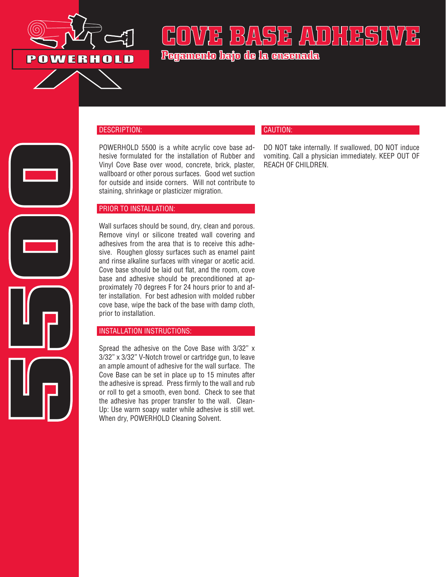

**5500**

# COVAX BASE AVOILESI

**Pegamento bajo de la ensenada**

### DESCRIPTION:

POWERHOLD 5500 is a white acrylic cove base adhesive formulated for the installation of Rubber and Vinyl Cove Base over wood, concrete, brick, plaster, wallboard or other porous surfaces. Good wet suction for outside and inside corners. Will not contribute to staining, shrinkage or plasticizer migration.

#### PRIOR TO INSTALLATION:

Wall surfaces should be sound, dry, clean and porous. Remove vinyl or silicone treated wall covering and adhesives from the area that is to receive this adhesive. Roughen glossy surfaces such as enamel paint and rinse alkaline surfaces with vinegar or acetic acid. Cove base should be laid out flat, and the room, cove base and adhesive should be preconditioned at approximately 70 degrees F for 24 hours prior to and after installation. For best adhesion with molded rubber cove base, wipe the back of the base with damp cloth, prior to installation.

#### INSTALLATION INSTRUCTIONS:

Spread the adhesive on the Cove Base with 3/32" x 3/32" x 3/32" V-Notch trowel or cartridge gun, to leave an ample amount of adhesive for the wall surface. The Cove Base can be set in place up to 15 minutes after the adhesive is spread. Press firmly to the wall and rub or roll to get a smooth, even bond. Check to see that the adhesive has proper transfer to the wall. Clean-Up: Use warm soapy water while adhesive is still wet. When dry, POWERHOLD Cleaning Solvent.

## CAUTION:

DO NOT take internally. If swallowed, DO NOT induce vomiting. Call a physician immediately. KEEP OUT OF REACH OF CHILDREN.